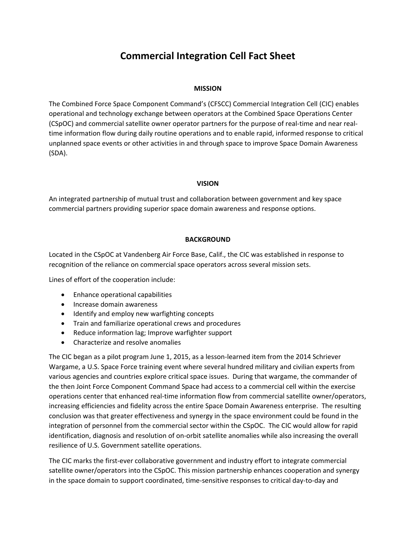## **Commercial Integration Cell Fact Sheet**

## **MISSION**

The Combined Force Space Component Command's (CFSCC) Commercial Integration Cell (CIC) enables operational and technology exchange between operators at the Combined Space Operations Center (CSpOC) and commercial satellite owner operator partners for the purpose of real‐time and near real‐ time information flow during daily routine operations and to enable rapid, informed response to critical unplanned space events or other activities in and through space to improve Space Domain Awareness (SDA).

## **VISION**

An integrated partnership of mutual trust and collaboration between government and key space commercial partners providing superior space domain awareness and response options.

## **BACKGROUND**

Located in the CSpOC at Vandenberg Air Force Base, Calif., the CIC was established in response to recognition of the reliance on commercial space operators across several mission sets.

Lines of effort of the cooperation include:

- Enhance operational capabilities
- Increase domain awareness
- Identify and employ new warfighting concepts
- Train and familiarize operational crews and procedures
- Reduce information lag; Improve warfighter support
- Characterize and resolve anomalies

The CIC began as a pilot program June 1, 2015, as a lesson-learned item from the 2014 Schriever Wargame, a U.S. Space Force training event where several hundred military and civilian experts from various agencies and countries explore critical space issues. During that wargame, the commander of the then Joint Force Component Command Space had access to a commercial cell within the exercise operations center that enhanced real‐time information flow from commercial satellite owner/operators, increasing efficiencies and fidelity across the entire Space Domain Awareness enterprise. The resulting conclusion was that greater effectiveness and synergy in the space environment could be found in the integration of personnel from the commercial sector within the CSpOC. The CIC would allow for rapid identification, diagnosis and resolution of on‐orbit satellite anomalies while also increasing the overall resilience of U.S. Government satellite operations.

The CIC marks the first-ever collaborative government and industry effort to integrate commercial satellite owner/operators into the CSpOC. This mission partnership enhances cooperation and synergy in the space domain to support coordinated, time‐sensitive responses to critical day‐to‐day and